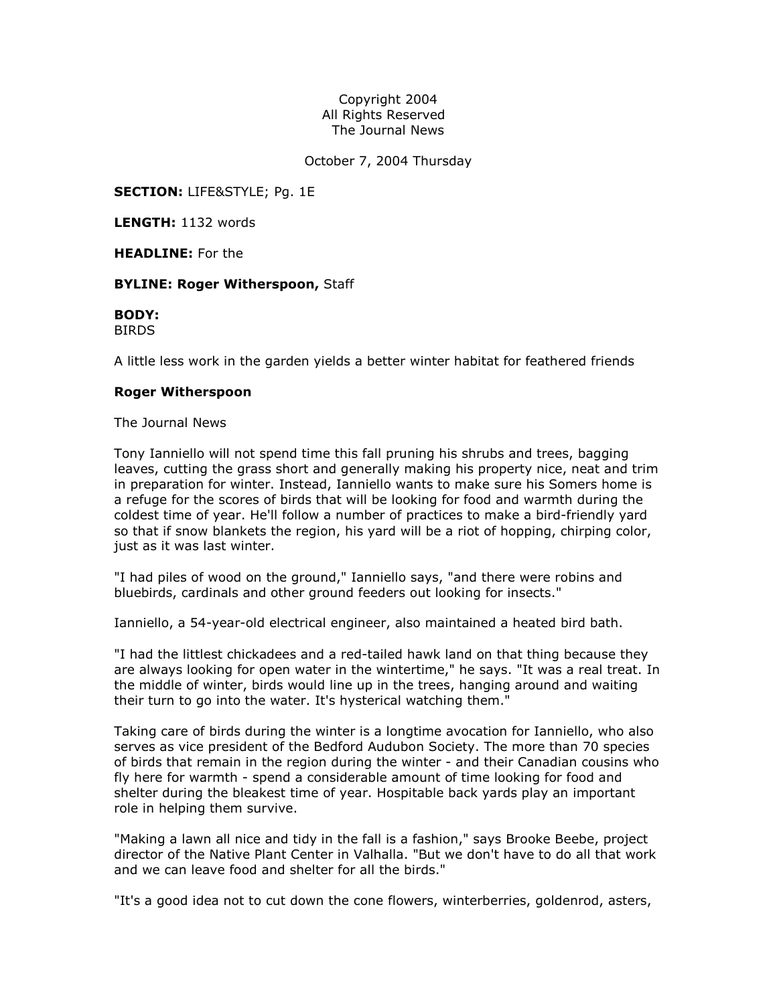## Copyright 2004 All Rights Reserved The Journal News

October 7, 2004 Thursday

**SECTION: LIFE&STYLE; Pg. 1E** 

LENGTH: 1132 words

HEADLINE: For the

## **BYLINE: Roger Witherspoon, Staff**

BODY: BIRDS

A little less work in the garden yields a better winter habitat for feathered friends

## Roger Witherspoon

The Journal News

Tony Ianniello will not spend time this fall pruning his shrubs and trees, bagging leaves, cutting the grass short and generally making his property nice, neat and trim in preparation for winter. Instead, Ianniello wants to make sure his Somers home is a refuge for the scores of birds that will be looking for food and warmth during the coldest time of year. He'll follow a number of practices to make a bird-friendly yard so that if snow blankets the region, his yard will be a riot of hopping, chirping color, just as it was last winter.

"I had piles of wood on the ground," Ianniello says, "and there were robins and bluebirds, cardinals and other ground feeders out looking for insects."

Ianniello, a 54-year-old electrical engineer, also maintained a heated bird bath.

"I had the littlest chickadees and a red-tailed hawk land on that thing because they are always looking for open water in the wintertime," he says. "It was a real treat. In the middle of winter, birds would line up in the trees, hanging around and waiting their turn to go into the water. It's hysterical watching them."

Taking care of birds during the winter is a longtime avocation for Ianniello, who also serves as vice president of the Bedford Audubon Society. The more than 70 species of birds that remain in the region during the winter - and their Canadian cousins who fly here for warmth - spend a considerable amount of time looking for food and shelter during the bleakest time of year. Hospitable back yards play an important role in helping them survive.

"Making a lawn all nice and tidy in the fall is a fashion," says Brooke Beebe, project director of the Native Plant Center in Valhalla. "But we don't have to do all that work and we can leave food and shelter for all the birds."

"It's a good idea not to cut down the cone flowers, winterberries, goldenrod, asters,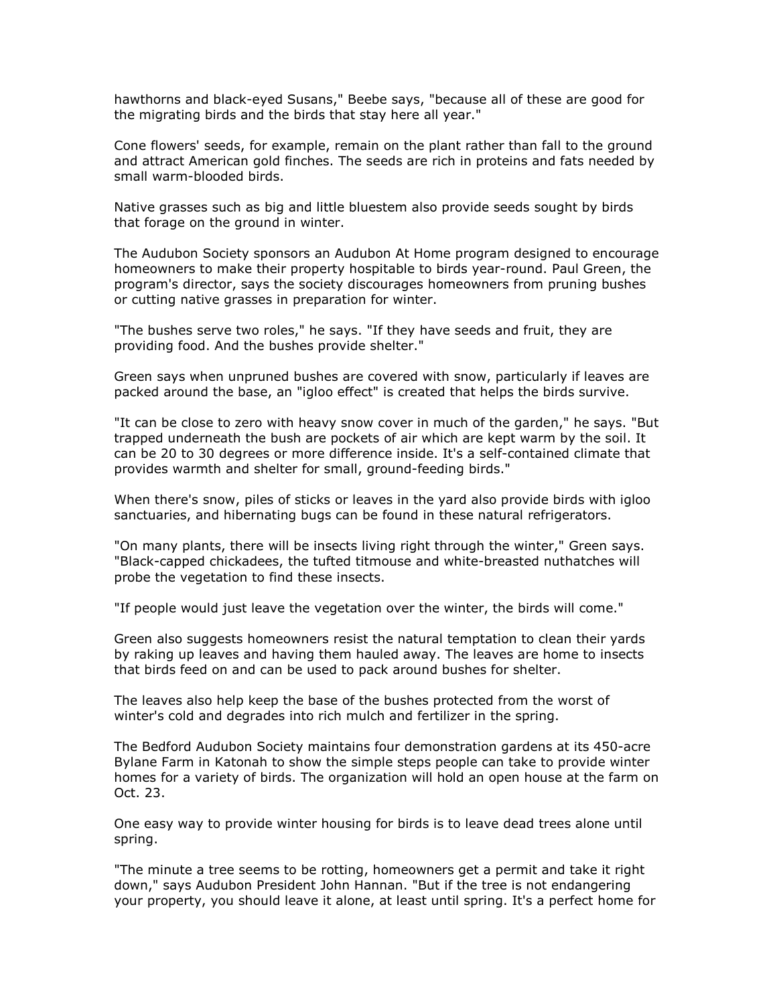hawthorns and black-eyed Susans," Beebe says, "because all of these are good for the migrating birds and the birds that stay here all year."

Cone flowers' seeds, for example, remain on the plant rather than fall to the ground and attract American gold finches. The seeds are rich in proteins and fats needed by small warm-blooded birds.

Native grasses such as big and little bluestem also provide seeds sought by birds that forage on the ground in winter.

The Audubon Society sponsors an Audubon At Home program designed to encourage homeowners to make their property hospitable to birds year-round. Paul Green, the program's director, says the society discourages homeowners from pruning bushes or cutting native grasses in preparation for winter.

"The bushes serve two roles," he says. "If they have seeds and fruit, they are providing food. And the bushes provide shelter."

Green says when unpruned bushes are covered with snow, particularly if leaves are packed around the base, an "igloo effect" is created that helps the birds survive.

"It can be close to zero with heavy snow cover in much of the garden," he says. "But trapped underneath the bush are pockets of air which are kept warm by the soil. It can be 20 to 30 degrees or more difference inside. It's a self-contained climate that provides warmth and shelter for small, ground-feeding birds."

When there's snow, piles of sticks or leaves in the yard also provide birds with igloo sanctuaries, and hibernating bugs can be found in these natural refrigerators.

"On many plants, there will be insects living right through the winter," Green says. "Black-capped chickadees, the tufted titmouse and white-breasted nuthatches will probe the vegetation to find these insects.

"If people would just leave the vegetation over the winter, the birds will come."

Green also suggests homeowners resist the natural temptation to clean their yards by raking up leaves and having them hauled away. The leaves are home to insects that birds feed on and can be used to pack around bushes for shelter.

The leaves also help keep the base of the bushes protected from the worst of winter's cold and degrades into rich mulch and fertilizer in the spring.

The Bedford Audubon Society maintains four demonstration gardens at its 450-acre Bylane Farm in Katonah to show the simple steps people can take to provide winter homes for a variety of birds. The organization will hold an open house at the farm on Oct. 23.

One easy way to provide winter housing for birds is to leave dead trees alone until spring.

"The minute a tree seems to be rotting, homeowners get a permit and take it right down," says Audubon President John Hannan. "But if the tree is not endangering your property, you should leave it alone, at least until spring. It's a perfect home for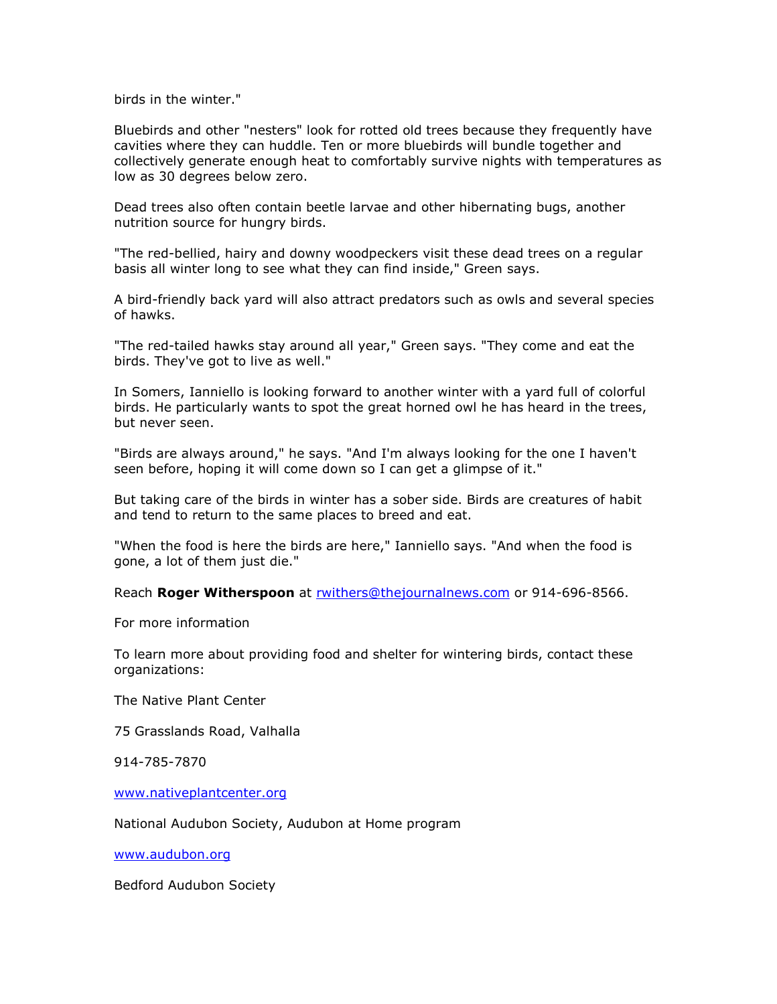birds in the winter."

Bluebirds and other "nesters" look for rotted old trees because they frequently have cavities where they can huddle. Ten or more bluebirds will bundle together and collectively generate enough heat to comfortably survive nights with temperatures as low as 30 degrees below zero.

Dead trees also often contain beetle larvae and other hibernating bugs, another nutrition source for hungry birds.

"The red-bellied, hairy and downy woodpeckers visit these dead trees on a regular basis all winter long to see what they can find inside," Green says.

A bird-friendly back yard will also attract predators such as owls and several species of hawks.

"The red-tailed hawks stay around all year," Green says. "They come and eat the birds. They've got to live as well."

In Somers, Ianniello is looking forward to another winter with a yard full of colorful birds. He particularly wants to spot the great horned owl he has heard in the trees, but never seen.

"Birds are always around," he says. "And I'm always looking for the one I haven't seen before, hoping it will come down so I can get a glimpse of it."

But taking care of the birds in winter has a sober side. Birds are creatures of habit and tend to return to the same places to breed and eat.

"When the food is here the birds are here," Ianniello says. "And when the food is gone, a lot of them just die."

Reach Roger Witherspoon at rwithers@thejournalnews.com or 914-696-8566.

For more information

To learn more about providing food and shelter for wintering birds, contact these organizations:

The Native Plant Center

75 Grasslands Road, Valhalla

914-785-7870

www.nativeplantcenter.org

National Audubon Society, Audubon at Home program

www.audubon.org

Bedford Audubon Society